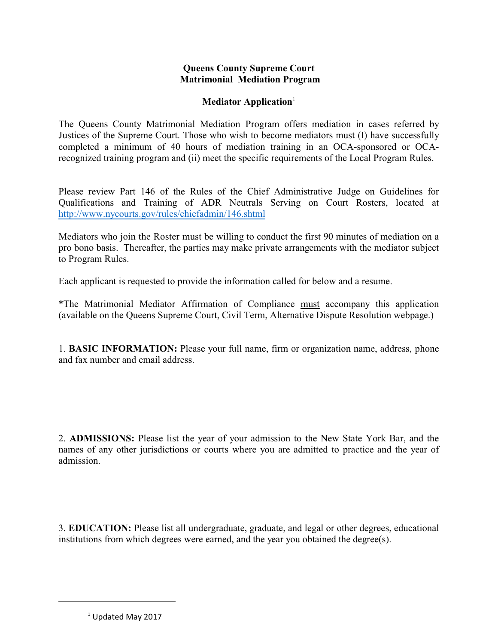## **Queens County Supreme Court Matrimonial Mediation Program**

## **Mediator Application**<sup>1</sup>

The Queens County Matrimonial Mediation Program offers mediation in cases referred by Justices of the Supreme Court. Those who wish to become mediators must (I) have successfully completed a minimum of 40 hours of mediation training in an OCA-sponsored or OCArecognized training program and (ii) meet the specific requirements of the Local Program Rules.

Please review Part 146 of the Rules of the Chief Administrative Judge on Guidelines for Qualifications and Training of ADR Neutrals Serving on Court Rosters, located at <http://www.nycourts.gov/rules/chiefadmin/146.shtml>

Mediators who join the Roster must be willing to conduct the first 90 minutes of mediation on a pro bono basis. Thereafter, the parties may make private arrangements with the mediator subject to Program Rules.

Each applicant is requested to provide the information called for below and a resume.

\*The Matrimonial Mediator Affirmation of Compliance must accompany this application (available on the Queens Supreme Court, Civil Term, Alternative Dispute Resolution webpage.)

1. **BASIC INFORMATION:** Please your full name, firm or organization name, address, phone and fax number and email address.

2. **ADMISSIONS:** Please list the year of your admission to the New State York Bar, and the names of any other jurisdictions or courts where you are admitted to practice and the year of admission.

3. **EDUCATION:** Please list all undergraduate, graduate, and legal or other degrees, educational institutions from which degrees were earned, and the year you obtained the degree(s).

 $^1$  Updated May 2017